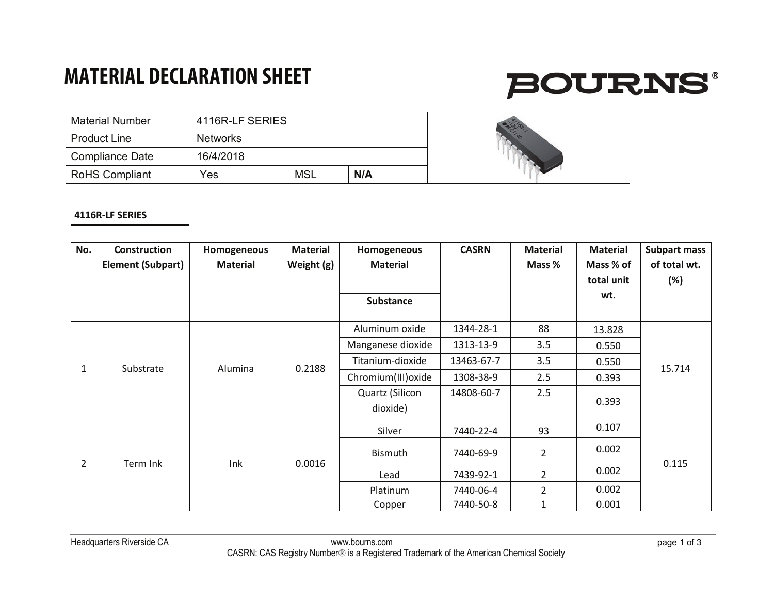### **MATERIAL DECLARATION SHEET**

# **BOURNS®**

| l Material Number | 4116R-LF SERIES |     |     |  |
|-------------------|-----------------|-----|-----|--|
| l Product Line    | <b>Networks</b> |     |     |  |
| Compliance Date   | 16/4/2018       |     |     |  |
| RoHS Compliant    | Yes             | MSL | N/A |  |



#### **4116R-LF SERIES**

| No.            | <b>Construction</b><br><b>Element (Subpart)</b> | Homogeneous<br><b>Material</b> | <b>Material</b><br>Weight (g) | Homogeneous<br><b>Material</b><br><b>Substance</b> | <b>CASRN</b> | <b>Material</b><br>Mass % | <b>Material</b><br>Mass % of<br>total unit<br>wt. | <b>Subpart mass</b><br>of total wt.<br>(%) |
|----------------|-------------------------------------------------|--------------------------------|-------------------------------|----------------------------------------------------|--------------|---------------------------|---------------------------------------------------|--------------------------------------------|
|                | Substrate                                       | Alumina                        | 0.2188                        | Aluminum oxide                                     | 1344-28-1    | 88                        | 13.828                                            | 15.714                                     |
|                |                                                 |                                |                               | Manganese dioxide                                  | 1313-13-9    | 3.5                       | 0.550                                             |                                            |
| 1              |                                                 |                                |                               | Titanium-dioxide                                   | 13463-67-7   | 3.5                       | 0.550                                             |                                            |
|                |                                                 |                                |                               | Chromium(III) oxide                                | 1308-38-9    | 2.5                       | 0.393                                             |                                            |
|                |                                                 |                                |                               | Quartz (Silicon                                    | 14808-60-7   | 2.5                       | 0.393                                             |                                            |
|                |                                                 |                                |                               | dioxide)                                           |              |                           |                                                   |                                            |
| $\overline{2}$ | Term Ink                                        | Ink                            | 0.0016                        | Silver                                             | 7440-22-4    | 93                        | 0.107                                             | 0.115                                      |
|                |                                                 |                                |                               | Bismuth                                            | 7440-69-9    | $\overline{2}$            | 0.002                                             |                                            |
|                |                                                 |                                |                               | Lead                                               | 7439-92-1    | $\overline{2}$            | 0.002                                             |                                            |
|                |                                                 |                                |                               | Platinum                                           | 7440-06-4    | $\overline{2}$            | 0.002                                             |                                            |
|                |                                                 |                                |                               | Copper                                             | 7440-50-8    | 1                         | 0.001                                             |                                            |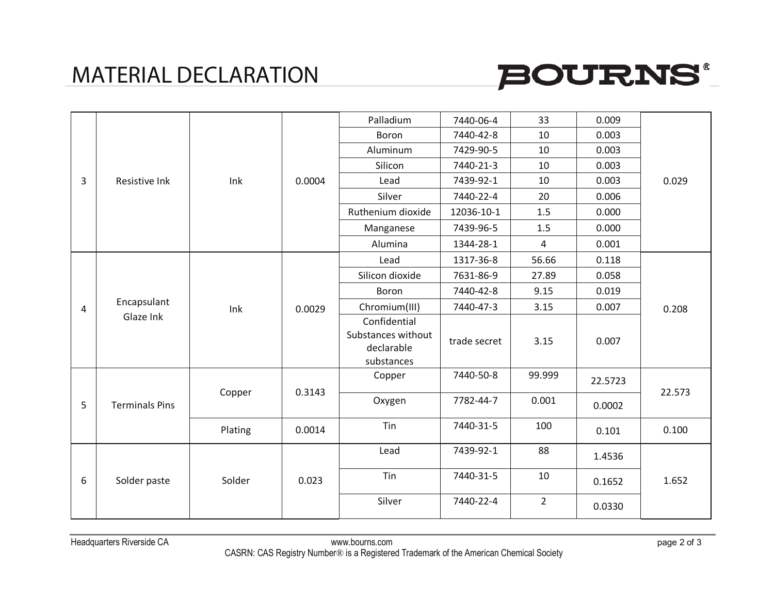### MATERIAL DECLARATION



| 3 | Resistive Ink            | Ink     | 0.0004 | Palladium                                                      | 7440-06-4    | 33             | 0.009   | 0.029  |
|---|--------------------------|---------|--------|----------------------------------------------------------------|--------------|----------------|---------|--------|
|   |                          |         |        | Boron                                                          | 7440-42-8    | 10             | 0.003   |        |
|   |                          |         |        | Aluminum                                                       | 7429-90-5    | 10             | 0.003   |        |
|   |                          |         |        | Silicon                                                        | 7440-21-3    | 10             | 0.003   |        |
|   |                          |         |        | Lead                                                           | 7439-92-1    | 10             | 0.003   |        |
|   |                          |         |        | Silver                                                         | 7440-22-4    | 20             | 0.006   |        |
|   |                          |         |        | Ruthenium dioxide                                              | 12036-10-1   | 1.5            | 0.000   |        |
|   |                          |         |        | Manganese                                                      | 7439-96-5    | 1.5            | 0.000   |        |
|   |                          |         |        | Alumina                                                        | 1344-28-1    | 4              | 0.001   |        |
|   |                          | Ink     | 0.0029 | Lead                                                           | 1317-36-8    | 56.66          | 0.118   | 0.208  |
|   |                          |         |        | Silicon dioxide                                                | 7631-86-9    | 27.89          | 0.058   |        |
|   |                          |         |        | Boron                                                          | 7440-42-8    | 9.15           | 0.019   |        |
| 4 | Encapsulant<br>Glaze Ink |         |        | Chromium(III)                                                  | 7440-47-3    | 3.15           | 0.007   |        |
|   |                          |         |        | Confidential<br>Substances without<br>declarable<br>substances | trade secret | 3.15           | 0.007   |        |
| 5 | <b>Terminals Pins</b>    | Copper  | 0.3143 | Copper                                                         | 7440-50-8    | 99.999         | 22.5723 | 22.573 |
|   |                          |         |        | Oxygen                                                         | 7782-44-7    | 0.001          | 0.0002  |        |
|   |                          | Plating | 0.0014 | Tin                                                            | 7440-31-5    | 100            | 0.101   | 0.100  |
| 6 | Solder paste             | Solder  | 0.023  | Lead                                                           | 7439-92-1    | 88             | 1.4536  | 1.652  |
|   |                          |         |        | Tin                                                            | 7440-31-5    | 10             | 0.1652  |        |
|   |                          |         |        | Silver                                                         | 7440-22-4    | $\overline{2}$ | 0.0330  |        |